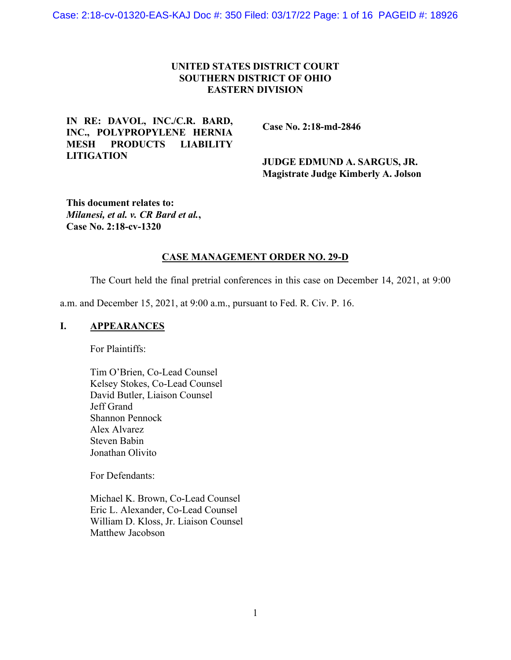# **UNITED STATES DISTRICT COURT SOUTHERN DISTRICT OF OHIO EASTERN DIVISION**

# **IN RE: DAVOL, INC./C.R. BARD, INC., POLYPROPYLENE HERNIA MESH PRODUCTS LIABILITY LITIGATION**

 **Case No. 2:18-md-2846** 

 **JUDGE EDMUND A. SARGUS, JR. Magistrate Judge Kimberly A. Jolson** 

**This document relates to:**  *Milanesi, et al. v. CR Bard et al.***, Case No. 2:18-cv-1320** 

## **CASE MANAGEMENT ORDER NO. 29-D**

The Court held the final pretrial conferences in this case on December 14, 2021, at 9:00

a.m. and December 15, 2021, at 9:00 a.m., pursuant to Fed. R. Civ. P. 16.

## **I. APPEARANCES**

For Plaintiffs:

Tim O'Brien, Co-Lead Counsel Kelsey Stokes, Co-Lead Counsel David Butler, Liaison Counsel Jeff Grand Shannon Pennock Alex Alvarez Steven Babin Jonathan Olivito

For Defendants:

Michael K. Brown, Co-Lead Counsel Eric L. Alexander, Co-Lead Counsel William D. Kloss, Jr. Liaison Counsel Matthew Jacobson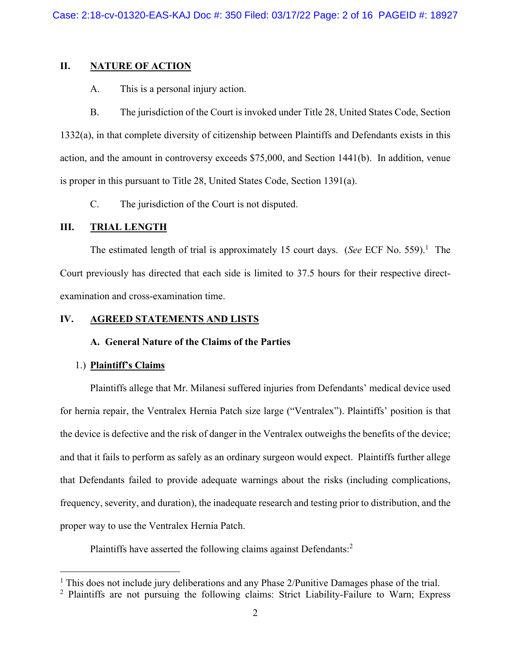## **II. NATURE OF ACTION**

A. This is a personal injury action.

B. The jurisdiction of the Court is invoked under Title 28, United States Code, Section 1332(a), in that complete diversity of citizenship between Plaintiffs and Defendants exists in this action, and the amount in controversy exceeds \$75,000, and Section 1441(b). In addition, venue is proper in this pursuant to Title 28, United States Code, Section 1391(a).

C. The jurisdiction of the Court is not disputed.

## **III. TRIAL LENGTH**

The estimated length of trial is approximately 15 court days. (*See* ECF No. 559).<sup>1</sup> The Court previously has directed that each side is limited to 37.5 hours for their respective directexamination and cross-examination time.

## **IV. AGREED STATEMENTS AND LISTS**

## **A. General Nature of the Claims of the Parties**

## 1.) **Plaintiff's Claims**

Plaintiffs allege that Mr. Milanesi suffered injuries from Defendants' medical device used for hernia repair, the Ventralex Hernia Patch size large ("Ventralex"). Plaintiffs' position is that the device is defective and the risk of danger in the Ventralex outweighs the benefits of the device; and that it fails to perform as safely as an ordinary surgeon would expect. Plaintiffs further allege that Defendants failed to provide adequate warnings about the risks (including complications, frequency, severity, and duration), the inadequate research and testing prior to distribution, and the proper way to use the Ventralex Hernia Patch.

Plaintiffs have asserted the following claims against Defendants:<sup>2</sup>

<sup>&</sup>lt;sup>1</sup> This does not include jury deliberations and any Phase 2/Punitive Damages phase of the trial.

<sup>&</sup>lt;sup>2</sup> Plaintiffs are not pursuing the following claims: Strict Liability-Failure to Warn; Express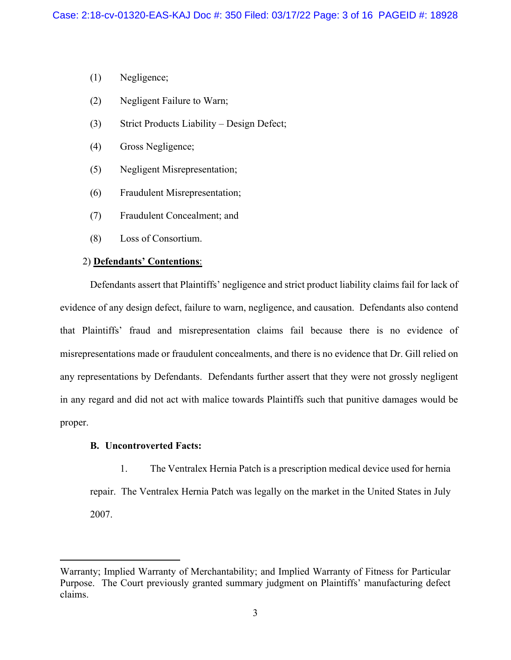- (1) Negligence;
- (2) Negligent Failure to Warn;
- (3) Strict Products Liability Design Defect;
- (4) Gross Negligence;
- (5) Negligent Misrepresentation;
- (6) Fraudulent Misrepresentation;
- (7) Fraudulent Concealment; and
- (8) Loss of Consortium.

### 2) **Defendants' Contentions**:

Defendants assert that Plaintiffs' negligence and strict product liability claims fail for lack of evidence of any design defect, failure to warn, negligence, and causation. Defendants also contend that Plaintiffs' fraud and misrepresentation claims fail because there is no evidence of misrepresentations made or fraudulent concealments, and there is no evidence that Dr. Gill relied on any representations by Defendants. Defendants further assert that they were not grossly negligent in any regard and did not act with malice towards Plaintiffs such that punitive damages would be proper.

## **B. Uncontroverted Facts:**

1. The Ventralex Hernia Patch is a prescription medical device used for hernia repair. The Ventralex Hernia Patch was legally on the market in the United States in July 2007.

Warranty; Implied Warranty of Merchantability; and Implied Warranty of Fitness for Particular Purpose. The Court previously granted summary judgment on Plaintiffs' manufacturing defect claims.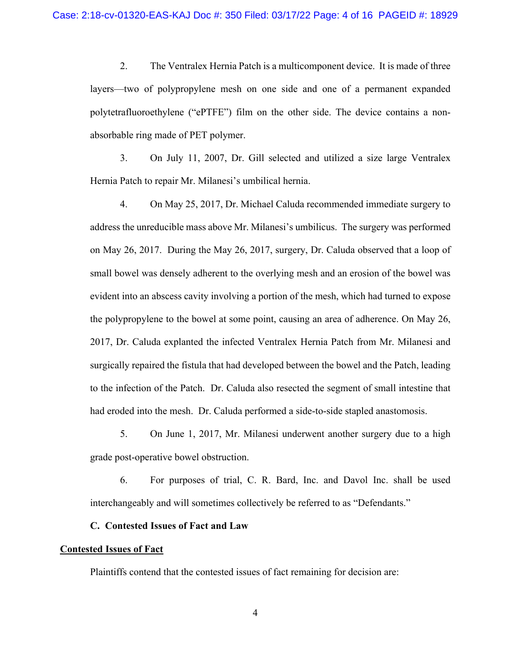2. The Ventralex Hernia Patch is a multicomponent device. It is made of three layers—two of polypropylene mesh on one side and one of a permanent expanded polytetrafluoroethylene ("ePTFE") film on the other side. The device contains a nonabsorbable ring made of PET polymer.

3. On July 11, 2007, Dr. Gill selected and utilized a size large Ventralex Hernia Patch to repair Mr. Milanesi's umbilical hernia.

4. On May 25, 2017, Dr. Michael Caluda recommended immediate surgery to address the unreducible mass above Mr. Milanesi's umbilicus. The surgery was performed on May 26, 2017. During the May 26, 2017, surgery, Dr. Caluda observed that a loop of small bowel was densely adherent to the overlying mesh and an erosion of the bowel was evident into an abscess cavity involving a portion of the mesh, which had turned to expose the polypropylene to the bowel at some point, causing an area of adherence. On May 26, 2017, Dr. Caluda explanted the infected Ventralex Hernia Patch from Mr. Milanesi and surgically repaired the fistula that had developed between the bowel and the Patch, leading to the infection of the Patch. Dr. Caluda also resected the segment of small intestine that had eroded into the mesh. Dr. Caluda performed a side-to-side stapled anastomosis.

5. On June 1, 2017, Mr. Milanesi underwent another surgery due to a high grade post-operative bowel obstruction.

6. For purposes of trial, C. R. Bard, Inc. and Davol Inc. shall be used interchangeably and will sometimes collectively be referred to as "Defendants."

## **C. Contested Issues of Fact and Law**

## **Contested Issues of Fact**

Plaintiffs contend that the contested issues of fact remaining for decision are:

4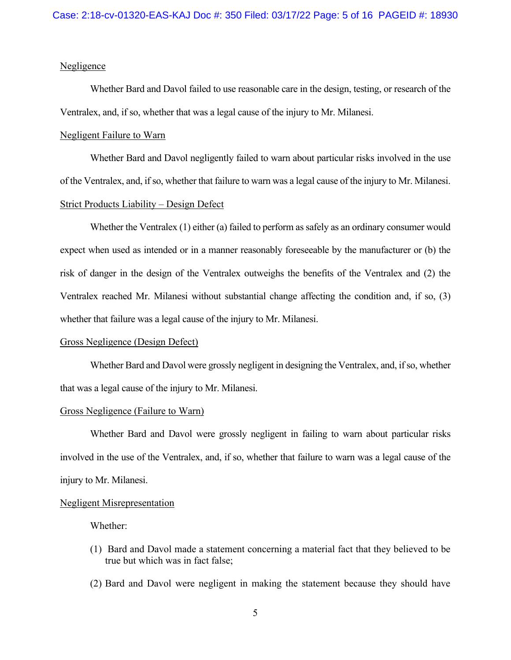## **Negligence**

Whether Bard and Davol failed to use reasonable care in the design, testing, or research of the Ventralex, and, if so, whether that was a legal cause of the injury to Mr. Milanesi.

### Negligent Failure to Warn

Whether Bard and Davol negligently failed to warn about particular risks involved in the use of the Ventralex, and, if so, whether that failure to warn was a legal cause of the injury to Mr. Milanesi. Strict Products Liability – Design Defect

Whether the Ventralex (1) either (a) failed to perform as safely as an ordinary consumer would expect when used as intended or in a manner reasonably foreseeable by the manufacturer or (b) the risk of danger in the design of the Ventralex outweighs the benefits of the Ventralex and (2) the Ventralex reached Mr. Milanesi without substantial change affecting the condition and, if so, (3) whether that failure was a legal cause of the injury to Mr. Milanesi.

### Gross Negligence (Design Defect)

Whether Bard and Davol were grossly negligent in designing the Ventralex, and, if so, whether that was a legal cause of the injury to Mr. Milanesi.

### Gross Negligence (Failure to Warn)

Whether Bard and Davol were grossly negligent in failing to warn about particular risks involved in the use of the Ventralex, and, if so, whether that failure to warn was a legal cause of the injury to Mr. Milanesi.

#### Negligent Misrepresentation

Whether:

- (1) Bard and Davol made a statement concerning a material fact that they believed to be true but which was in fact false;
- (2) Bard and Davol were negligent in making the statement because they should have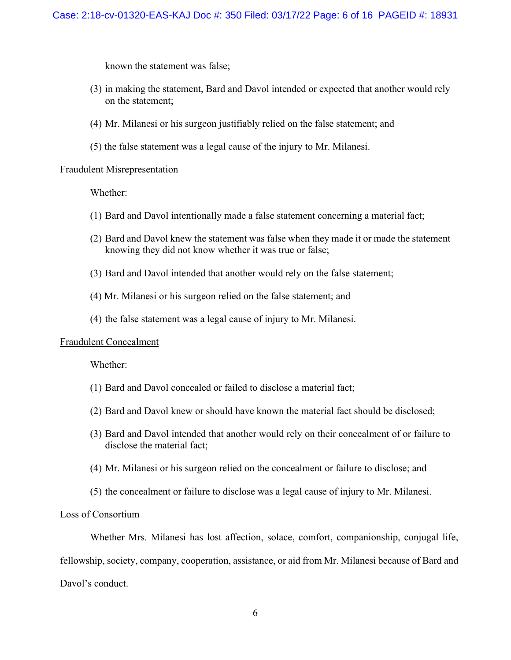known the statement was false;

- (3) in making the statement, Bard and Davol intended or expected that another would rely on the statement;
- (4) Mr. Milanesi or his surgeon justifiably relied on the false statement; and
- (5) the false statement was a legal cause of the injury to Mr. Milanesi.

## Fraudulent Misrepresentation

Whether:

- (1) Bard and Davol intentionally made a false statement concerning a material fact;
- (2) Bard and Davol knew the statement was false when they made it or made the statement knowing they did not know whether it was true or false;
- (3) Bard and Davol intended that another would rely on the false statement;
- (4) Mr. Milanesi or his surgeon relied on the false statement; and
- (4) the false statement was a legal cause of injury to Mr. Milanesi.

## Fraudulent Concealment

Whether:

- (1) Bard and Davol concealed or failed to disclose a material fact;
- (2) Bard and Davol knew or should have known the material fact should be disclosed;
- (3) Bard and Davol intended that another would rely on their concealment of or failure to disclose the material fact;
- (4) Mr. Milanesi or his surgeon relied on the concealment or failure to disclose; and
- (5) the concealment or failure to disclose was a legal cause of injury to Mr. Milanesi.

## Loss of Consortium

Whether Mrs. Milanesi has lost affection, solace, comfort, companionship, conjugal life, fellowship, society, company, cooperation, assistance, or aid from Mr. Milanesi because of Bard and Davol's conduct.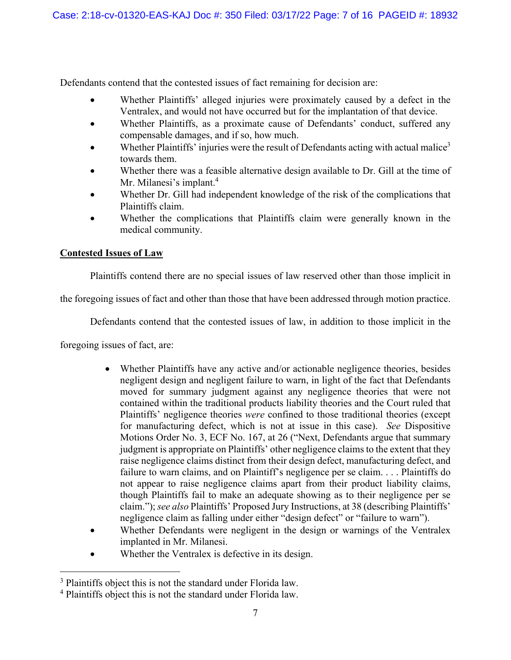Defendants contend that the contested issues of fact remaining for decision are:

- Whether Plaintiffs' alleged injuries were proximately caused by a defect in the Ventralex, and would not have occurred but for the implantation of that device.
- Whether Plaintiffs, as a proximate cause of Defendants' conduct, suffered any compensable damages, and if so, how much.
- Whether Plaintiffs' injuries were the result of Defendants acting with actual malice<sup>3</sup> towards them.
- Whether there was a feasible alternative design available to Dr. Gill at the time of Mr. Milanesi's implant.<sup>4</sup>
- Whether Dr. Gill had independent knowledge of the risk of the complications that Plaintiffs claim.
- Whether the complications that Plaintiffs claim were generally known in the medical community.

# **Contested Issues of Law**

Plaintiffs contend there are no special issues of law reserved other than those implicit in

the foregoing issues of fact and other than those that have been addressed through motion practice.

Defendants contend that the contested issues of law, in addition to those implicit in the

foregoing issues of fact, are:

- Whether Plaintiffs have any active and/or actionable negligence theories, besides negligent design and negligent failure to warn, in light of the fact that Defendants moved for summary judgment against any negligence theories that were not contained within the traditional products liability theories and the Court ruled that Plaintiffs' negligence theories *were* confined to those traditional theories (except for manufacturing defect, which is not at issue in this case). *See* Dispositive Motions Order No. 3, ECF No. 167, at 26 ("Next, Defendants argue that summary judgment is appropriate on Plaintiffs' other negligence claims to the extent that they raise negligence claims distinct from their design defect, manufacturing defect, and failure to warn claims, and on Plaintiff's negligence per se claim. . . . Plaintiffs do not appear to raise negligence claims apart from their product liability claims, though Plaintiffs fail to make an adequate showing as to their negligence per se claim."); *see also* Plaintiffs' Proposed Jury Instructions, at 38 (describing Plaintiffs' negligence claim as falling under either "design defect" or "failure to warn").
- Whether Defendants were negligent in the design or warnings of the Ventralex implanted in Mr. Milanesi.
- Whether the Ventralex is defective in its design.

<sup>&</sup>lt;sup>3</sup> Plaintiffs object this is not the standard under Florida law.

<sup>&</sup>lt;sup>4</sup> Plaintiffs object this is not the standard under Florida law.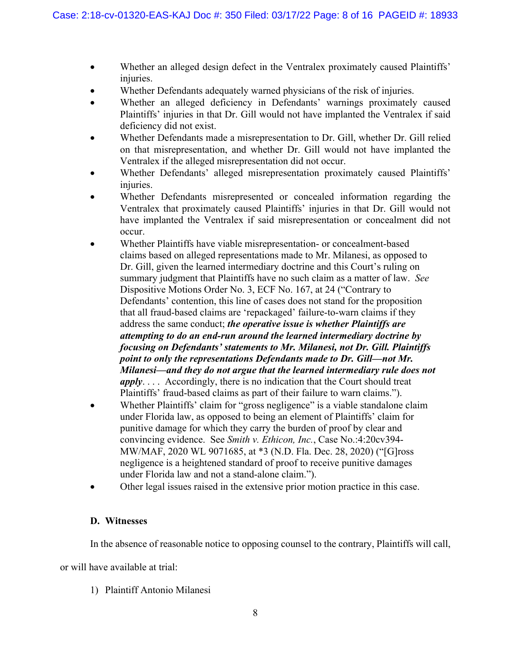- Whether an alleged design defect in the Ventralex proximately caused Plaintiffs' injuries.
- Whether Defendants adequately warned physicians of the risk of injuries.
- Whether an alleged deficiency in Defendants' warnings proximately caused Plaintiffs' injuries in that Dr. Gill would not have implanted the Ventralex if said deficiency did not exist.
- Whether Defendants made a misrepresentation to Dr. Gill, whether Dr. Gill relied on that misrepresentation, and whether Dr. Gill would not have implanted the Ventralex if the alleged misrepresentation did not occur.
- Whether Defendants' alleged misrepresentation proximately caused Plaintiffs' injuries.
- Whether Defendants misrepresented or concealed information regarding the Ventralex that proximately caused Plaintiffs' injuries in that Dr. Gill would not have implanted the Ventralex if said misrepresentation or concealment did not occur.
- Whether Plaintiffs have viable misrepresentation- or concealment-based claims based on alleged representations made to Mr. Milanesi, as opposed to Dr. Gill, given the learned intermediary doctrine and this Court's ruling on summary judgment that Plaintiffs have no such claim as a matter of law. *See*  Dispositive Motions Order No. 3, ECF No. 167, at 24 ("Contrary to Defendants' contention, this line of cases does not stand for the proposition that all fraud-based claims are 'repackaged' failure-to-warn claims if they address the same conduct; *the operative issue is whether Plaintiffs are attempting to do an end-run around the learned intermediary doctrine by focusing on Defendants' statements to Mr. Milanesi, not Dr. Gill. Plaintiffs point to only the representations Defendants made to Dr. Gill—not Mr. Milanesi—and they do not argue that the learned intermediary rule does not apply*. . . . Accordingly, there is no indication that the Court should treat Plaintiffs' fraud-based claims as part of their failure to warn claims.").
- Whether Plaintiffs' claim for "gross negligence" is a viable standalone claim under Florida law, as opposed to being an element of Plaintiffs' claim for punitive damage for which they carry the burden of proof by clear and convincing evidence. See *Smith v. Ethicon, Inc.*, Case No.:4:20cv394- MW/MAF, 2020 WL 9071685, at \*3 (N.D. Fla. Dec. 28, 2020) ("[G]ross negligence is a heightened standard of proof to receive punitive damages under Florida law and not a stand-alone claim.").
- Other legal issues raised in the extensive prior motion practice in this case.

# **D. Witnesses**

In the absence of reasonable notice to opposing counsel to the contrary, Plaintiffs will call,

or will have available at trial:

1) Plaintiff Antonio Milanesi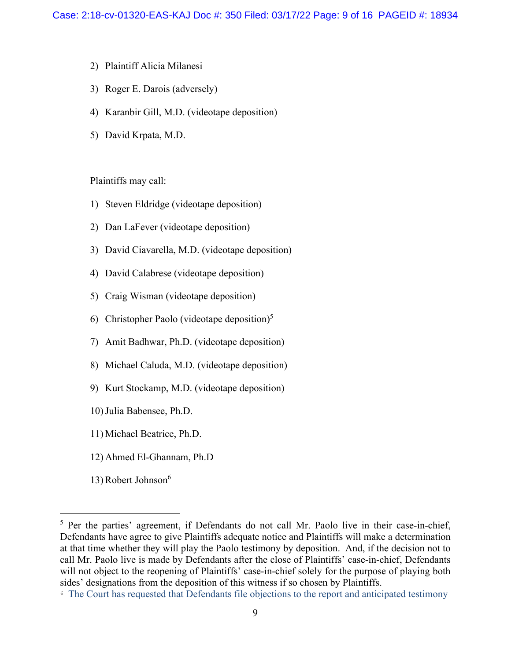- 2) Plaintiff Alicia Milanesi
- 3) Roger E. Darois (adversely)
- 4) Karanbir Gill, M.D. (videotape deposition)
- 5) David Krpata, M.D.

Plaintiffs may call:

- 1) Steven Eldridge (videotape deposition)
- 2) Dan LaFever (videotape deposition)
- 3) David Ciavarella, M.D. (videotape deposition)
- 4) David Calabrese (videotape deposition)
- 5) Craig Wisman (videotape deposition)
- 6) Christopher Paolo (videotape deposition)<sup>5</sup>
- 7) Amit Badhwar, Ph.D. (videotape deposition)
- 8) Michael Caluda, M.D. (videotape deposition)
- 9) Kurt Stockamp, M.D. (videotape deposition)
- 10)Julia Babensee, Ph.D.
- 11) Michael Beatrice, Ph.D.
- 12) Ahmed El-Ghannam, Ph.D
- 13) Robert Johnson<sup>6</sup>

<sup>&</sup>lt;sup>5</sup> Per the parties' agreement, if Defendants do not call Mr. Paolo live in their case-in-chief, Defendants have agree to give Plaintiffs adequate notice and Plaintiffs will make a determination at that time whether they will play the Paolo testimony by deposition. And, if the decision not to call Mr. Paolo live is made by Defendants after the close of Plaintiffs' case-in-chief, Defendants will not object to the reopening of Plaintiffs' case-in-chief solely for the purpose of playing both sides' designations from the deposition of this witness if so chosen by Plaintiffs.

<sup>6</sup> The Court has requested that Defendants file objections to the report and anticipated testimony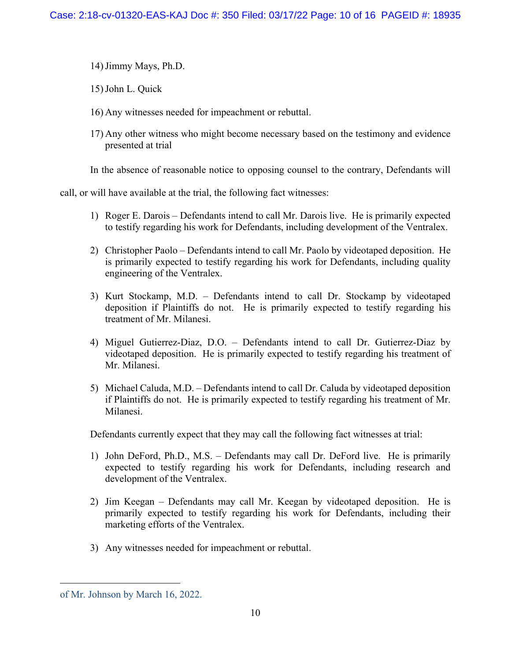- 14)Jimmy Mays, Ph.D.
- 15)John L. Quick
- 16) Any witnesses needed for impeachment or rebuttal.
- 17) Any other witness who might become necessary based on the testimony and evidence presented at trial

In the absence of reasonable notice to opposing counsel to the contrary, Defendants will

call, or will have available at the trial, the following fact witnesses:

- 1) Roger E. Darois Defendants intend to call Mr. Darois live. He is primarily expected to testify regarding his work for Defendants, including development of the Ventralex.
- 2) Christopher Paolo Defendants intend to call Mr. Paolo by videotaped deposition. He is primarily expected to testify regarding his work for Defendants, including quality engineering of the Ventralex.
- 3) Kurt Stockamp, M.D. Defendants intend to call Dr. Stockamp by videotaped deposition if Plaintiffs do not. He is primarily expected to testify regarding his treatment of Mr. Milanesi.
- 4) Miguel Gutierrez-Diaz, D.O. Defendants intend to call Dr. Gutierrez-Diaz by videotaped deposition. He is primarily expected to testify regarding his treatment of Mr. Milanesi.
- 5) Michael Caluda, M.D. Defendants intend to call Dr. Caluda by videotaped deposition if Plaintiffs do not. He is primarily expected to testify regarding his treatment of Mr. Milanesi.

Defendants currently expect that they may call the following fact witnesses at trial:

- 1) John DeFord, Ph.D., M.S. Defendants may call Dr. DeFord live. He is primarily expected to testify regarding his work for Defendants, including research and development of the Ventralex.
- 2) Jim Keegan Defendants may call Mr. Keegan by videotaped deposition. He is primarily expected to testify regarding his work for Defendants, including their marketing efforts of the Ventralex.
- 3) Any witnesses needed for impeachment or rebuttal.

of Mr. Johnson by March 16, 2022.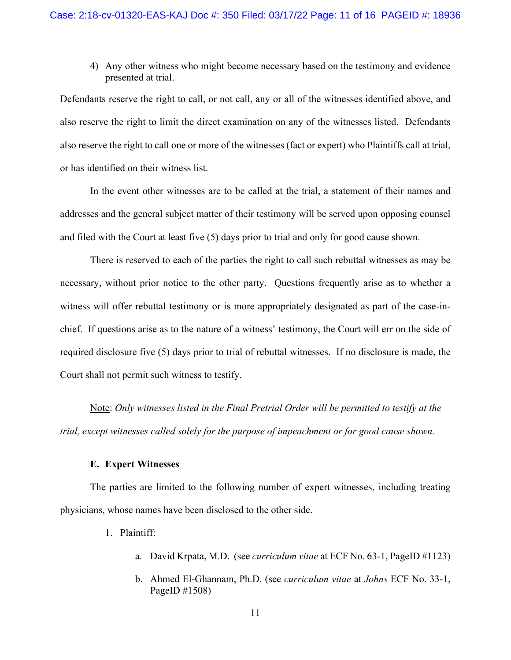4) Any other witness who might become necessary based on the testimony and evidence presented at trial.

Defendants reserve the right to call, or not call, any or all of the witnesses identified above, and also reserve the right to limit the direct examination on any of the witnesses listed. Defendants also reserve the right to call one or more of the witnesses (fact or expert) who Plaintiffs call at trial, or has identified on their witness list.

In the event other witnesses are to be called at the trial, a statement of their names and addresses and the general subject matter of their testimony will be served upon opposing counsel and filed with the Court at least five (5) days prior to trial and only for good cause shown.

There is reserved to each of the parties the right to call such rebuttal witnesses as may be necessary, without prior notice to the other party. Questions frequently arise as to whether a witness will offer rebuttal testimony or is more appropriately designated as part of the case-inchief. If questions arise as to the nature of a witness' testimony, the Court will err on the side of required disclosure five (5) days prior to trial of rebuttal witnesses. If no disclosure is made, the Court shall not permit such witness to testify.

Note: *Only witnesses listed in the Final Pretrial Order will be permitted to testify at the trial, except witnesses called solely for the purpose of impeachment or for good cause shown.* 

### **E. Expert Witnesses**

The parties are limited to the following number of expert witnesses, including treating physicians, whose names have been disclosed to the other side.

- 1. Plaintiff:
	- a. David Krpata, M.D. (see *curriculum vitae* at ECF No. 63-1, PageID #1123)
	- b. Ahmed El-Ghannam, Ph.D. (see *curriculum vitae* at *Johns* ECF No. 33-1, PageID #1508)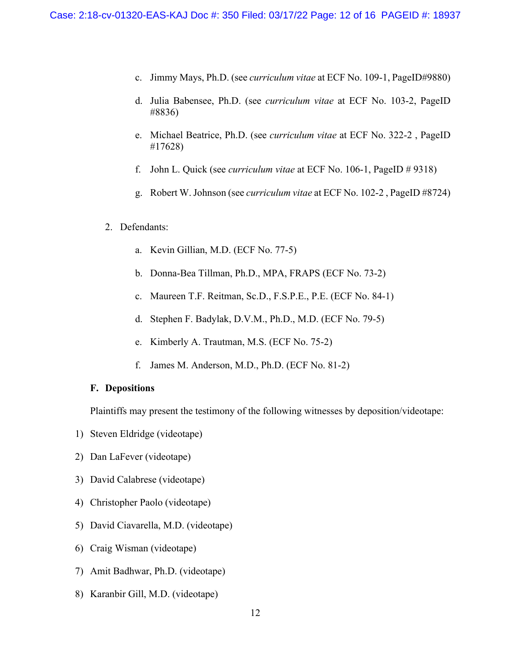- c. Jimmy Mays, Ph.D. (see *curriculum vitae* at ECF No. 109-1, PageID#9880)
- d. Julia Babensee, Ph.D. (see *curriculum vitae* at ECF No. 103-2, PageID #8836)
- e. Michael Beatrice, Ph.D. (see *curriculum vitae* at ECF No. 322-2 , PageID #17628)
- f. John L. Quick (see *curriculum vitae* at ECF No. 106-1, PageID # 9318)
- g. Robert W. Johnson (see *curriculum vitae* at ECF No. 102-2 , PageID #8724)

### 2. Defendants:

- a. Kevin Gillian, M.D. (ECF No. 77-5)
- b. Donna-Bea Tillman, Ph.D., MPA, FRAPS (ECF No. 73-2)
- c. Maureen T.F. Reitman, Sc.D., F.S.P.E., P.E. (ECF No. 84-1)
- d. Stephen F. Badylak, D.V.M., Ph.D., M.D. (ECF No. 79-5)
- e. Kimberly A. Trautman, M.S. (ECF No. 75-2)
- f. James M. Anderson, M.D., Ph.D. (ECF No. 81-2)

### **F. Depositions**

Plaintiffs may present the testimony of the following witnesses by deposition/videotape:

- 1) Steven Eldridge (videotape)
- 2) Dan LaFever (videotape)
- 3) David Calabrese (videotape)
- 4) Christopher Paolo (videotape)
- 5) David Ciavarella, M.D. (videotape)
- 6) Craig Wisman (videotape)
- 7) Amit Badhwar, Ph.D. (videotape)
- 8) Karanbir Gill, M.D. (videotape)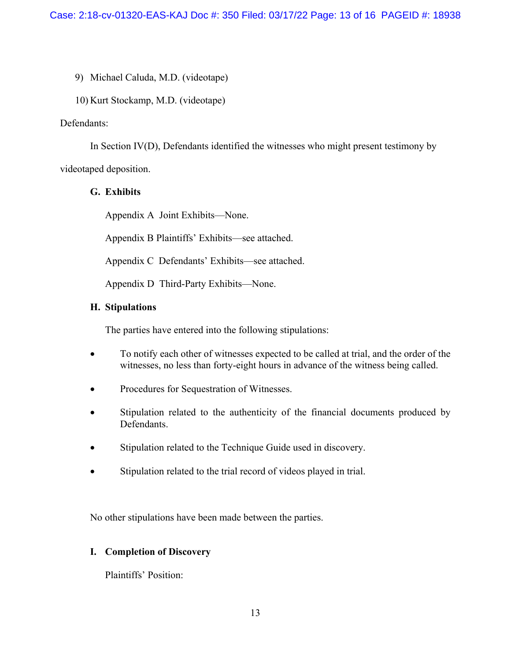9) Michael Caluda, M.D. (videotape)

10) Kurt Stockamp, M.D. (videotape)

## Defendants:

In Section IV(D), Defendants identified the witnesses who might present testimony by videotaped deposition.

## **G. Exhibits**

Appendix A Joint Exhibits—None.

Appendix B Plaintiffs' Exhibits—see attached.

Appendix C Defendants' Exhibits—see attached.

Appendix D Third-Party Exhibits—None.

## **H. Stipulations**

The parties have entered into the following stipulations:

- To notify each other of witnesses expected to be called at trial, and the order of the witnesses, no less than forty-eight hours in advance of the witness being called.
- Procedures for Sequestration of Witnesses.
- Stipulation related to the authenticity of the financial documents produced by Defendants.
- Stipulation related to the Technique Guide used in discovery.
- Stipulation related to the trial record of videos played in trial.

No other stipulations have been made between the parties.

# **I. Completion of Discovery**

Plaintiffs' Position: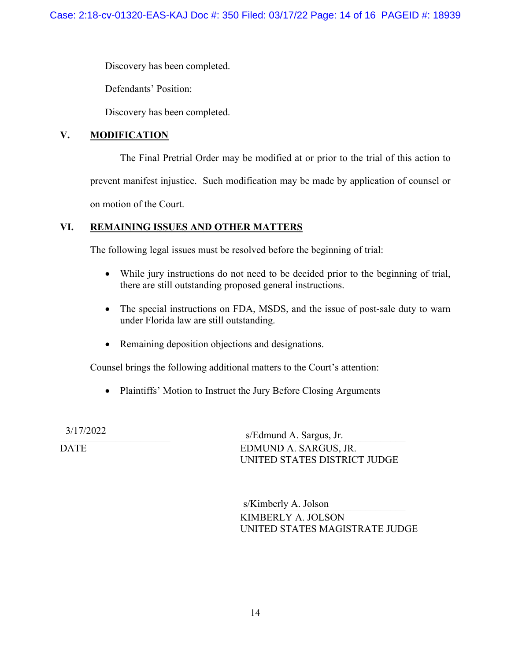Discovery has been completed.

Defendants' Position:

Discovery has been completed.

# **V. MODIFICATION**

The Final Pretrial Order may be modified at or prior to the trial of this action to prevent manifest injustice. Such modification may be made by application of counsel or on motion of the Court.

# **VI. REMAINING ISSUES AND OTHER MATTERS**

The following legal issues must be resolved before the beginning of trial:

- While jury instructions do not need to be decided prior to the beginning of trial, there are still outstanding proposed general instructions.
- The special instructions on FDA, MSDS, and the issue of post-sale duty to warn under Florida law are still outstanding.
- Remaining deposition objections and designations.

Counsel brings the following additional matters to the Court's attention:

• Plaintiffs' Motion to Instruct the Jury Before Closing Arguments

\_\_\_\_\_\_\_\_\_\_\_\_\_\_\_\_\_\_\_\_\_\_ \_\_\_\_\_\_\_\_\_\_\_\_\_\_\_\_\_\_\_\_\_\_\_\_\_\_\_\_\_\_\_\_\_ 3/17/2022 s/Edmund A. Sargus, Jr. DATE EDMUND A. SARGUS, JR. UNITED STATES DISTRICT JUDGE

> s/Kimberly A. Jolson KIMBERLY A. JOLSON UNITED STATES MAGISTRATE JUDGE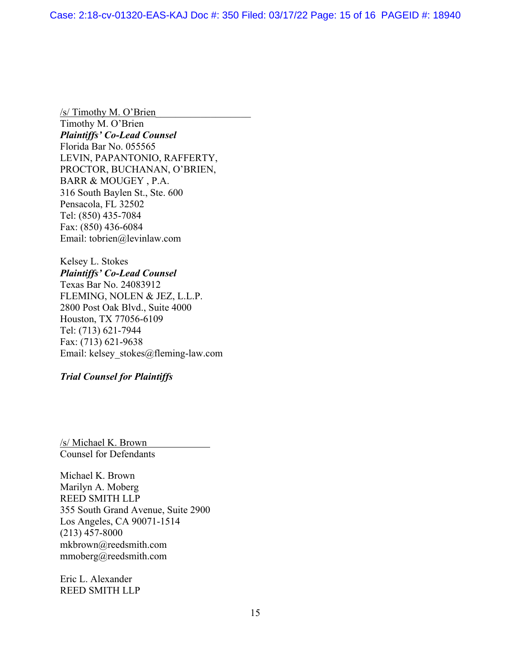$/s/$  Timothy M. O'Brien Timothy M. O'Brien *Plaintiffs' Co-Lead Counsel*  Florida Bar No. 055565 LEVIN, PAPANTONIO, RAFFERTY, PROCTOR, BUCHANAN, O'BRIEN, BARR & MOUGEY , P.A. 316 South Baylen St., Ste. 600 Pensacola, FL 32502 Tel: (850) 435-7084 Fax: (850) 436-6084 Email: tobrien@levinlaw.com

Kelsey L. Stokes *Plaintiffs' Co-Lead Counsel*  Texas Bar No. 24083912 FLEMING, NOLEN & JEZ, L.L.P. 2800 Post Oak Blvd., Suite 4000 Houston, TX 77056-6109 Tel: (713) 621-7944 Fax: (713) 621-9638 Email: kelsey\_stokes@fleming-law.com

*Trial Counsel for Plaintiffs* 

/s/ Michael K. Brown Counsel for Defendants

Michael K. Brown Marilyn A. Moberg REED SMITH LLP 355 South Grand Avenue, Suite 2900 Los Angeles, CA 90071-1514 (213) 457-8000 mkbrown@reedsmith.com mmoberg@reedsmith.com

Eric L. Alexander REED SMITH LLP